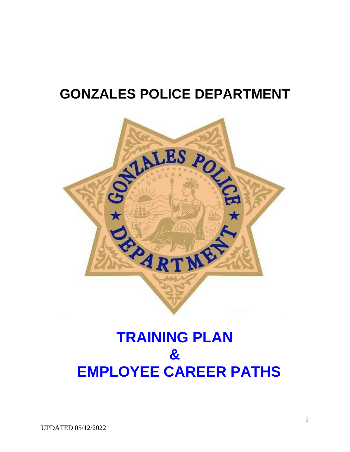# **GONZALES POLICE DEPARTMENT**



# **TRAINING PLAN & EMPLOYEE CAREER PATHS**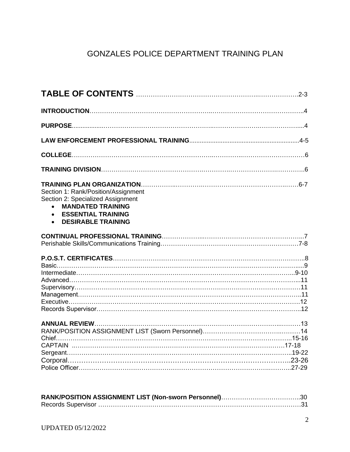# GONZALES POLICE DEPARTMENT TRAINING PLAN

| Section 1: Rank/Position/Assignment<br>Section 2: Specialized Assignment<br><b>MANDATED TRAINING</b><br>$\bullet$<br><b>ESSENTIAL TRAINING</b><br>$\bullet$<br><b>DESIRABLE TRAINING</b><br>$\bullet$ |  |
|-------------------------------------------------------------------------------------------------------------------------------------------------------------------------------------------------------|--|
|                                                                                                                                                                                                       |  |
|                                                                                                                                                                                                       |  |
|                                                                                                                                                                                                       |  |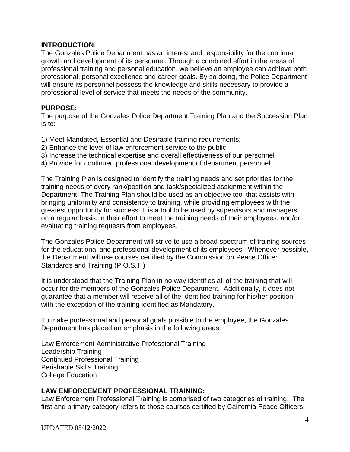#### **INTRODUCTION**:

The Gonzales Police Department has an interest and responsibility for the continual growth and development of its personnel. Through a combined effort in the areas of professional training and personal education, we believe an employee can achieve both professional, personal excellence and career goals. By so doing, the Police Department will ensure its personnel possess the knowledge and skills necessary to provide a professional level of service that meets the needs of the community.

#### **PURPOSE:**

The purpose of the Gonzales Police Department Training Plan and the Succession Plan is to:

1) Meet Mandated, Essential and Desirable training requirements;

- 2) Enhance the level of law enforcement service to the public
- 3) Increase the technical expertise and overall effectiveness of our personnel
- 4) Provide for continued professional development of department personnel

The Training Plan is designed to identify the training needs and set priorities for the training needs of every rank/position and task/specialized assignment within the Department. The Training Plan should be used as an objective tool that assists with bringing uniformity and consistency to training, while providing employees with the greatest opportunity for success. It is a tool to be used by supervisors and managers on a regular basis, in their effort to meet the training needs of their employees, and/or evaluating training requests from employees.

The Gonzales Police Department will strive to use a broad spectrum of training sources for the educational and professional development of its employees. Whenever possible, the Department will use courses certified by the Commission on Peace Officer Standards and Training (P.O.S.T.)

It is understood that the Training Plan in no way identifies all of the training that will occur for the members of the Gonzales Police Department. Additionally, it does not guarantee that a member will receive all of the identified training for his/her position, with the exception of the training identified as Mandatory.

To make professional and personal goals possible to the employee, the Gonzales Department has placed an emphasis in the following areas:

Law Enforcement Administrative Professional Training Leadership Training Continued Professional Training Perishable Skills Training College Education

#### **LAW ENFORCEMENT PROFESSIONAL TRAINING:**

Law Enforcement Professional Training is comprised of two categories of training. The first and primary category refers to those courses certified by California Peace Officers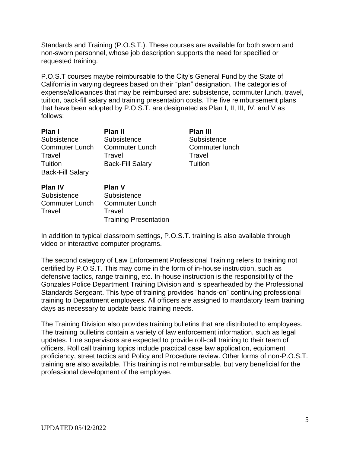Standards and Training (P.O.S.T.). These courses are available for both sworn and non-sworn personnel, whose job description supports the need for specified or requested training.

P.O.S.T courses maybe reimbursable to the City's General Fund by the State of California in varying degrees based on their "plan" designation. The categories of expense/allowances that may be reimbursed are: subsistence, commuter lunch, travel, tuition, back-fill salary and training presentation costs. The five reimbursement plans that have been adopted by P.O.S.T. are designated as Plan I, II, III, IV, and V as follows:

| Plan I<br>Subsistence<br><b>Commuter Lunch</b><br>Travel<br>Tuition<br><b>Back-Fill Salary</b> | <b>Plan II</b><br>Subsistence<br><b>Commuter Lunch</b><br>Travel<br><b>Back-Fill Salary</b> | <b>Plan III</b><br>Subsistence<br>Commuter lunch<br>Travel<br>Tuition |
|------------------------------------------------------------------------------------------------|---------------------------------------------------------------------------------------------|-----------------------------------------------------------------------|
| <b>Plan IV</b><br>Subsistence<br><b>Commuter Lunch</b><br>Travel                               | Plan V<br>Subsistence<br><b>Commuter Lunch</b><br>Travel<br><b>Training Presentation</b>    |                                                                       |

In addition to typical classroom settings, P.O.S.T. training is also available through video or interactive computer programs.

The second category of Law Enforcement Professional Training refers to training not certified by P.O.S.T. This may come in the form of in-house instruction, such as defensive tactics, range training, etc. In-house instruction is the responsibility of the Gonzales Police Department Training Division and is spearheaded by the Professional Standards Sergeant. This type of training provides "hands-on" continuing professional training to Department employees. All officers are assigned to mandatory team training days as necessary to update basic training needs.

The Training Division also provides training bulletins that are distributed to employees. The training bulletins contain a variety of law enforcement information, such as legal updates. Line supervisors are expected to provide roll-call training to their team of officers. Roll call training topics include practical case law application, equipment proficiency, street tactics and Policy and Procedure review. Other forms of non-P.O.S.T. training are also available. This training is not reimbursable, but very beneficial for the professional development of the employee.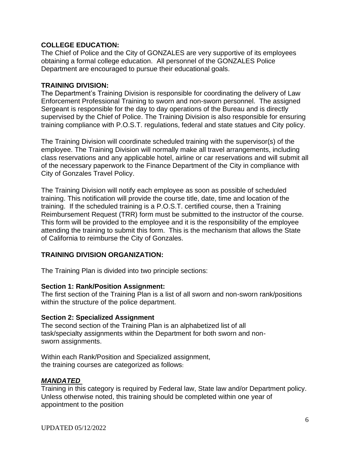#### **COLLEGE EDUCATION:**

The Chief of Police and the City of GONZALES are very supportive of its employees obtaining a formal college education. All personnel of the GONZALES Police Department are encouraged to pursue their educational goals.

#### **TRAINING DIVISION:**

The Department's Training Division is responsible for coordinating the delivery of Law Enforcement Professional Training to sworn and non-sworn personnel. The assigned Sergeant is responsible for the day to day operations of the Bureau and is directly supervised by the Chief of Police. The Training Division is also responsible for ensuring training compliance with P.O.S.T. regulations, federal and state statues and City policy.

The Training Division will coordinate scheduled training with the supervisor(s) of the employee. The Training Division will normally make all travel arrangements, including class reservations and any applicable hotel, airline or car reservations and will submit all of the necessary paperwork to the Finance Department of the City in compliance with City of Gonzales Travel Policy.

The Training Division will notify each employee as soon as possible of scheduled training. This notification will provide the course title, date, time and location of the training. If the scheduled training is a P.O.S.T. certified course, then a Training Reimbursement Request (TRR) form must be submitted to the instructor of the course. This form will be provided to the employee and it is the responsibility of the employee attending the training to submit this form. This is the mechanism that allows the State of California to reimburse the City of Gonzales.

#### **TRAINING DIVISION ORGANIZATION:**

The Training Plan is divided into two principle sections:

#### **Section 1: Rank/Position Assignment:**

The first section of the Training Plan is a list of all sworn and non-sworn rank/positions within the structure of the police department.

#### **Section 2: Specialized Assignment**

The second section of the Training Plan is an alphabetized list of all task/specialty assignments within the Department for both sworn and nonsworn assignments.

Within each Rank/Position and Specialized assignment, the training courses are categorized as follows:

#### *MANDATED*

Training in this category is required by Federal law, State law and/or Department policy. Unless otherwise noted, this training should be completed within one year of appointment to the position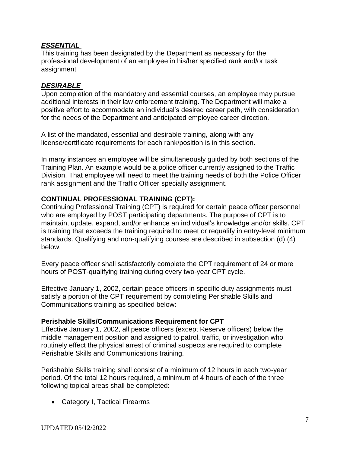### *ESSENTIAL*

This training has been designated by the Department as necessary for the professional development of an employee in his/her specified rank and/or task assignment

#### *DESIRABLE*

Upon completion of the mandatory and essential courses, an employee may pursue additional interests in their law enforcement training. The Department will make a positive effort to accommodate an individual's desired career path, with consideration for the needs of the Department and anticipated employee career direction.

A list of the mandated, essential and desirable training, along with any license/certificate requirements for each rank/position is in this section.

In many instances an employee will be simultaneously guided by both sections of the Training Plan. An example would be a police officer currently assigned to the Traffic Division. That employee will need to meet the training needs of both the Police Officer rank assignment and the Traffic Officer specialty assignment.

### **CONTINUAL PROFESSIONAL TRAINING (CPT):**

Continuing Professional Training (CPT) is required for certain peace officer personnel who are employed by POST participating departments. The purpose of CPT is to maintain, update, expand, and/or enhance an individual's knowledge and/or skills. CPT is training that exceeds the training required to meet or requalify in entry-level minimum standards. Qualifying and non-qualifying courses are described in subsection (d) (4) below.

Every peace officer shall satisfactorily complete the CPT requirement of 24 or more hours of POST-qualifying training during every two-year CPT cycle.

Effective January 1, 2002, certain peace officers in specific duty assignments must satisfy a portion of the CPT requirement by completing Perishable Skills and Communications training as specified below:

#### **Perishable Skills/Communications Requirement for CPT**

Effective January 1, 2002, all peace officers (except Reserve officers) below the middle management position and assigned to patrol, traffic, or investigation who routinely effect the physical arrest of criminal suspects are required to complete Perishable Skills and Communications training.

Perishable Skills training shall consist of a minimum of 12 hours in each two-year period. Of the total 12 hours required, a minimum of 4 hours of each of the three following topical areas shall be completed:

• Category I, Tactical Firearms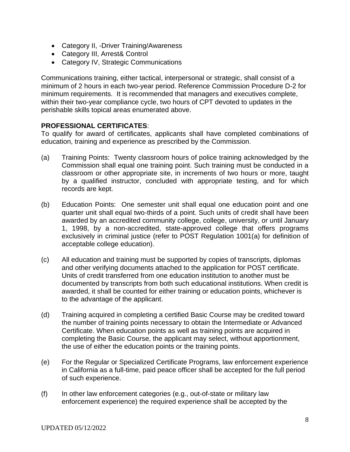- Category II, -Driver Training/Awareness
- Category III, Arrest& Control
- Category IV, Strategic Communications

Communications training, either tactical, interpersonal or strategic, shall consist of a minimum of 2 hours in each two-year period. Reference Commission Procedure D-2 for minimum requirements. It is recommended that managers and executives complete, within their two-year compliance cycle, two hours of CPT devoted to updates in the perishable skills topical areas enumerated above.

#### **PROFESSIONAL CERTIFICATES**:

To qualify for award of certificates, applicants shall have completed combinations of education, training and experience as prescribed by the Commission.

- (a) Training Points: Twenty classroom hours of police training acknowledged by the Commission shall equal one training point. Such training must be conducted in a classroom or other appropriate site, in increments of two hours or more, taught by a qualified instructor, concluded with appropriate testing, and for which records are kept.
- (b) Education Points: One semester unit shall equal one education point and one quarter unit shall equal two-thirds of a point. Such units of credit shall have been awarded by an accredited community college, college, university, or until January 1, 1998, by a non-accredited, state-approved college that offers programs exclusively in criminal justice (refer to POST Regulation 1001(a) for definition of acceptable college education).
- (c) All education and training must be supported by copies of transcripts, diplomas and other verifying documents attached to the application for POST certificate. Units of credit transferred from one education institution to another must be documented by transcripts from both such educational institutions. When credit is awarded, it shall be counted for either training or education points, whichever is to the advantage of the applicant.
- (d) Training acquired in completing a certified Basic Course may be credited toward the number of training points necessary to obtain the Intermediate or Advanced Certificate. When education points as well as training points are acquired in completing the Basic Course, the applicant may select, without apportionment, the use of either the education points or the training points.
- (e) For the Regular or Specialized Certificate Programs, law enforcement experience in California as a full-time, paid peace officer shall be accepted for the full period of such experience.
- (f) In other law enforcement categories (e.g., out-of-state or military law enforcement experience) the required experience shall be accepted by the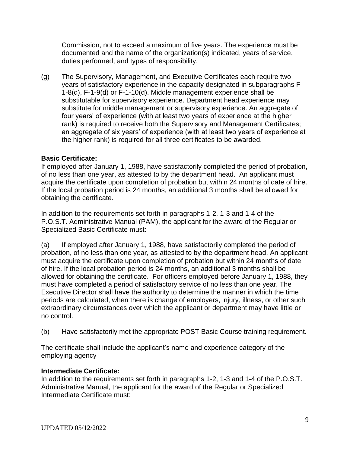Commission, not to exceed a maximum of five years. The experience must be documented and the name of the organization(s) indicated, years of service, duties performed, and types of responsibility.

(g) The Supervisory, Management, and Executive Certificates each require two years of satisfactory experience in the capacity designated in subparagraphs F-1-8(d), F-1-9(d) or F-1-10(d). Middle management experience shall be substitutable for supervisory experience. Department head experience may substitute for middle management or supervisory experience. An aggregate of four years' of experience (with at least two years of experience at the higher rank) is required to receive both the Supervisory and Management Certificates; an aggregate of six years' of experience (with at least two years of experience at the higher rank) is required for all three certificates to be awarded.

### **Basic Certificate:**

If employed after January 1, 1988, have satisfactorily completed the period of probation, of no less than one year, as attested to by the department head. An applicant must acquire the certificate upon completion of probation but within 24 months of date of hire. If the local probation period is 24 months, an additional 3 months shall be allowed for obtaining the certificate.

In addition to the requirements set forth in paragraphs 1-2, 1-3 and 1-4 of the P.O.S.T. Administrative Manual (PAM), the applicant for the award of the Regular or Specialized Basic Certificate must:

(a) If employed after January 1, 1988, have satisfactorily completed the period of probation, of no less than one year, as attested to by the department head. An applicant must acquire the certificate upon completion of probation but within 24 months of date of hire. If the local probation period is 24 months, an additional 3 months shall be allowed for obtaining the certificate. For officers employed before January 1, 1988, they must have completed a period of satisfactory service of no less than one year. The Executive Director shall have the authority to determine the manner in which the time periods are calculated, when there is change of employers, injury, illness, or other such extraordinary circumstances over which the applicant or department may have little or no control.

(b) Have satisfactorily met the appropriate POST Basic Course training requirement.

The certificate shall include the applicant's name and experience category of the employing agency

### **Intermediate Certificate:**

In addition to the requirements set forth in paragraphs 1-2, 1-3 and 1-4 of the P.O.S.T. Administrative Manual, the applicant for the award of the Regular or Specialized Intermediate Certificate must: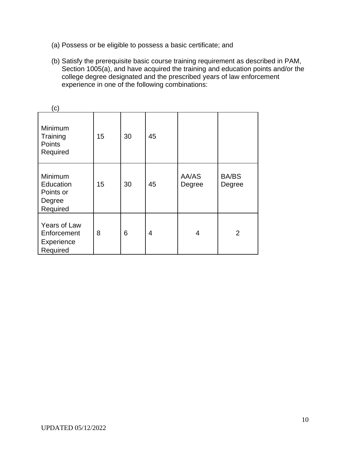- (a) Possess or be eligible to possess a basic certificate; and
- (b) Satisfy the prerequisite basic course training requirement as described in PAM, Section 1005(a), and have acquired the training and education points and/or the college degree designated and the prescribed years of law enforcement experience in one of the following combinations:

| (c)                                                     |    |    |    |                 |                        |
|---------------------------------------------------------|----|----|----|-----------------|------------------------|
| Minimum<br>Training<br><b>Points</b><br>Required        | 15 | 30 | 45 |                 |                        |
| Minimum<br>Education<br>Points or<br>Degree<br>Required | 15 | 30 | 45 | AA/AS<br>Degree | <b>BA/BS</b><br>Degree |
| Years of Law<br>Enforcement<br>Experience<br>Required   | 8  | 6  | 4  | 4               | $\overline{2}$         |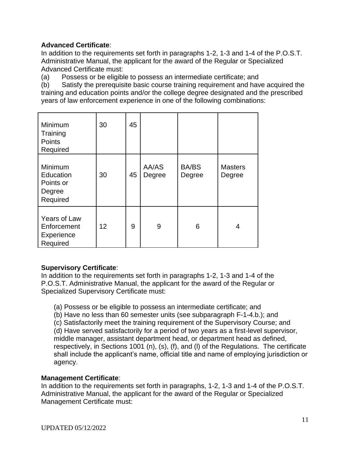### **Advanced Certificate**:

In addition to the requirements set forth in paragraphs 1-2, 1-3 and 1-4 of the P.O.S.T. Administrative Manual, the applicant for the award of the Regular or Specialized Advanced Certificate must:

(a) Possess or be eligible to possess an intermediate certificate; and

(b) Satisfy the prerequisite basic course training requirement and have acquired the training and education points and/or the college degree designated and the prescribed years of law enforcement experience in one of the following combinations:

| Minimum<br>Training<br>Points<br>Required               | 30 | 45 |                 |                        |                          |
|---------------------------------------------------------|----|----|-----------------|------------------------|--------------------------|
| Minimum<br>Education<br>Points or<br>Degree<br>Required | 30 | 45 | AA/AS<br>Degree | <b>BA/BS</b><br>Degree | <b>Masters</b><br>Degree |
| Years of Law<br>Enforcement<br>Experience<br>Required   | 12 | 9  | 9               | 6                      | 4                        |

### **Supervisory Certificate**:

In addition to the requirements set forth in paragraphs 1-2, 1-3 and 1-4 of the P.O.S.T. Administrative Manual, the applicant for the award of the Regular or Specialized Supervisory Certificate must:

(a) Possess or be eligible to possess an intermediate certificate; and

(b) Have no less than 60 semester units (see subparagraph F-1-4.b.); and

(c) Satisfactorily meet the training requirement of the Supervisory Course; and

(d) Have served satisfactorily for a period of two years as a first-level supervisor, middle manager, assistant department head, or department head as defined, respectively, in Sections 1001 (n), (s), (f), and (l) of the Regulations. The certificate shall include the applicant's name, official title and name of employing jurisdiction or agency.

### **Management Certificate**:

In addition to the requirements set forth in paragraphs, 1-2, 1-3 and 1-4 of the P.O.S.T. Administrative Manual, the applicant for the award of the Regular or Specialized Management Certificate must: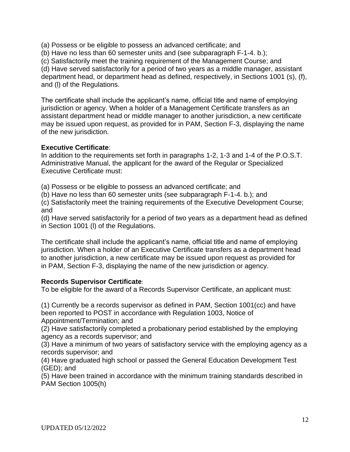(a) Possess or be eligible to possess an advanced certificate; and

(b) Have no less than 60 semester units and (see subparagraph F-1-4. b.);

(c) Satisfactorily meet the training requirement of the Management Course; and

(d) Have served satisfactorily for a period of two years as a middle manager, assistant department head, or department head as defined, respectively, in Sections 1001 (s), (f), and (l) of the Regulations.

The certificate shall include the applicant's name, official title and name of employing jurisdiction or agency. When a holder of a Management Certificate transfers as an assistant department head or middle manager to another jurisdiction, a new certificate may be issued upon request, as provided for in PAM, Section F-3, displaying the name of the new jurisdiction.

#### **Executive Certificate**:

In addition to the requirements set forth in paragraphs 1-2, 1-3 and 1-4 of the P.O.S.T. Administrative Manual, the applicant for the award of the Regular or Specialized Executive Certificate must:

(a) Possess or be eligible to possess an advanced certificate; and

(b) Have no less than 60 semester units (see subparagraph F-1-4. b.); and

(c) Satisfactorily meet the training requirements of the Executive Development Course; and

(d) Have served satisfactorily for a period of two years as a department head as defined in Section 1001 (l) of the Regulations.

The certificate shall include the applicant's name, official title and name of employing jurisdiction. When a holder of an Executive Certificate transfers as a department head to another jurisdiction, a new certificate may be issued upon request as provided for in PAM, Section F-3, displaying the name of the new jurisdiction or agency.

#### **Records Supervisor Certificate**:

To be eligible for the award of a Records Supervisor Certificate, an applicant must:

(1) Currently be a records supervisor as defined in PAM, Section 1001(cc) and have been reported to POST in accordance with Regulation 1003, Notice of Appointment/Termination; and

(2) Have satisfactorily completed a probationary period established by the employing agency as a records supervisor; and

(3) Have a minimum of two years of satisfactory service with the employing agency as a records supervisor; and

(4) Have graduated high school or passed the General Education Development Test (GED); and

(5) Have been trained in accordance with the minimum training standards described in PAM Section 1005(h)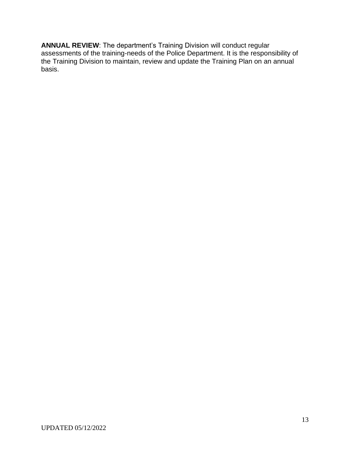**ANNUAL REVIEW**: The department's Training Division will conduct regular assessments of the training-needs of the Police Department. It is the responsibility of the Training Division to maintain, review and update the Training Plan on an annual basis.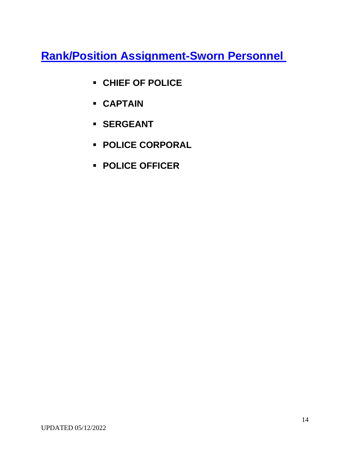**Rank/Position Assignment-Sworn Personnel** 

- **CHIEF OF POLICE**
- **CAPTAIN**
- **SERGEANT**
- **POLICE CORPORAL**
- **POLICE OFFICER**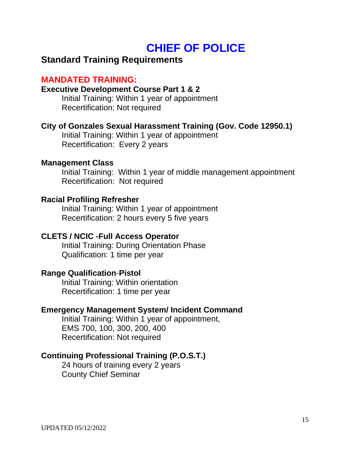# **CHIEF OF POLICE**

# **Standard Training Requirements**

# **MANDATED TRAINING:**

## **Executive Development Course Part 1 & 2**

Initial Training: Within 1 year of appointment Recertification: Not required

## **City of Gonzales Sexual Harassment Training (Gov. Code 12950.1)**

Initial Training: Within 1 year of appointment Recertification: Every 2 years

### **Management Class**

Initial Training: Within 1 year of middle management appointment Recertification: Not required

### **Racial Profiling Refresher**

Initial Training: Within 1 year of appointment Recertification: 2 hours every 5 five years

## **CLETS / NCIC -Full Access Operator**

Initial Training: During Orientation Phase Qualification: 1 time per year

### **Range Qualification**-**Pistol**

Initial Training: Within orientation Recertification: 1 time per year

### **Emergency Management System/ Incident Command**

Initial Training: Within 1 year of appointment, EMS 700, 100, 300, 200, 400 Recertification: Not required

## **Continuing Professional Training (P.O.S.T.)**

24 hours of training every 2 years County Chief Seminar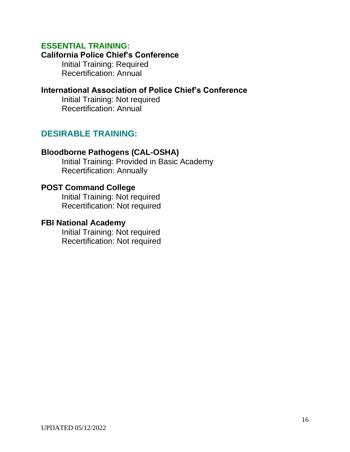## **ESSENTIAL TRAINING:**

### **California Police Chief's Conference**

Initial Training: Required Recertification: Annual

# **International Association of Police Chief's Conference**

Initial Training: Not required Recertification: Annual

# **DESIRABLE TRAINING:**

## **Bloodborne Pathogens (CAL-OSHA)**

Initial Training: Provided in Basic Academy Recertification: Annually

### **POST Command College**

Initial Training: Not required Recertification: Not required

### **FBI National Academy**

Initial Training: Not required Recertification: Not required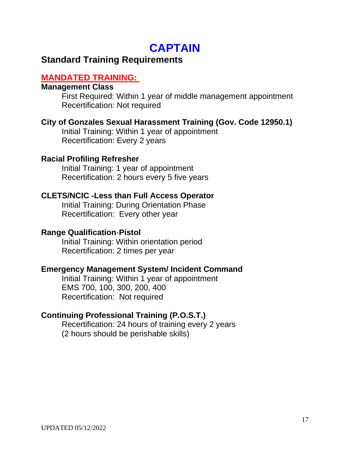# **CAPTAIN**

# **Standard Training Requirements**

# **MANDATED TRAINING:**

## **Management Class**

First Required: Within 1 year of middle management appointment Recertification: Not required

# **City of Gonzales Sexual Harassment Training (Gov. Code 12950.1)**

Initial Training: Within 1 year of appointment Recertification: Every 2 years

## **Racial Profiling Refresher**

Initial Training: 1 year of appointment Recertification: 2 hours every 5 five years

# **CLETS/NCIC -Less than Full Access Operator**

Initial Training: During Orientation Phase Recertification: Every other year

## **Range Qualification**-**Pistol**

Initial Training: Within orientation period Recertification: 2 times per year

# **Emergency Management System/ Incident Command**

Initial Training: Within 1 year of appointment EMS 700, 100, 300, 200, 400 Recertification: Not required

# **Continuing Professional Training (P.O.S.T.)**

Recertification: 24 hours of training every 2 years (2 hours should be perishable skills)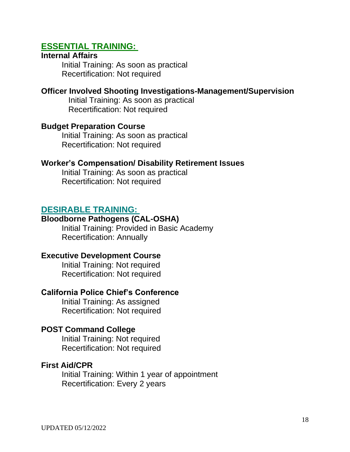# **ESSENTIAL TRAINING:**

### **Internal Affairs**

Initial Training: As soon as practical Recertification: Not required

### **Officer Involved Shooting Investigations-Management/Supervision**

Initial Training: As soon as practical Recertification: Not required

### **Budget Preparation Course**

Initial Training: As soon as practical Recertification: Not required

### **Worker's Compensation/ Disability Retirement Issues**

Initial Training: As soon as practical Recertification: Not required

## **DESIRABLE TRAINING:**

### **Bloodborne Pathogens (CAL-OSHA)**

Initial Training: Provided in Basic Academy Recertification: Annually

### **Executive Development Course**

Initial Training: Not required Recertification: Not required

### **California Police Chief's Conference**

Initial Training: As assigned Recertification: Not required

### **POST Command College**

Initial Training: Not required Recertification: Not required

### **First Aid/CPR**

Initial Training: Within 1 year of appointment Recertification: Every 2 years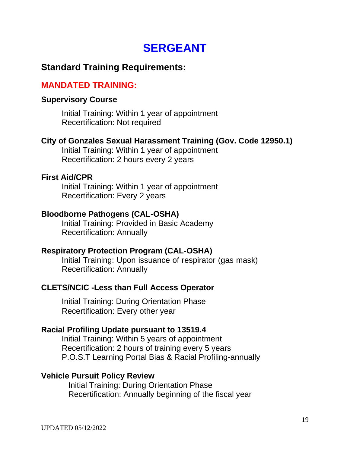# **SERGEANT**

# **Standard Training Requirements:**

# **MANDATED TRAINING:**

## **Supervisory Course**

Initial Training: Within 1 year of appointment Recertification: Not required

# **City of Gonzales Sexual Harassment Training (Gov. Code 12950.1)**

Initial Training: Within 1 year of appointment Recertification: 2 hours every 2 years

### **First Aid/CPR**

Initial Training: Within 1 year of appointment Recertification: Every 2 years

# **Bloodborne Pathogens (CAL-OSHA)**

Initial Training: Provided in Basic Academy Recertification: Annually

## **Respiratory Protection Program (CAL-OSHA)**

Initial Training: Upon issuance of respirator (gas mask) Recertification: Annually

## **CLETS/NCIC -Less than Full Access Operator**

Initial Training: During Orientation Phase Recertification: Every other year

## **Racial Profiling Update pursuant to 13519.4**

Initial Training: Within 5 years of appointment Recertification: 2 hours of training every 5 years P.O.S.T Learning Portal Bias & Racial Profiling-annually

## **Vehicle Pursuit Policy Review**

Initial Training: During Orientation Phase Recertification: Annually beginning of the fiscal year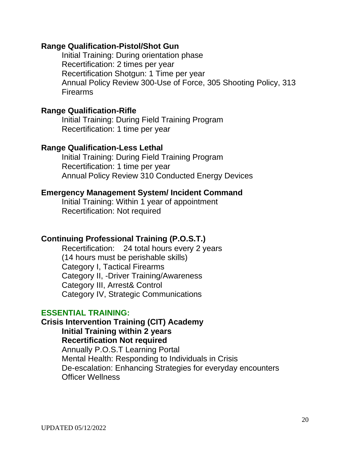## **Range Qualification-Pistol/Shot Gun**

Initial Training: During orientation phase Recertification: 2 times per year Recertification Shotgun: 1 Time per year Annual Policy Review 300-Use of Force, 305 Shooting Policy, 313 Firearms

### **Range Qualification-Rifle**

Initial Training: During Field Training Program Recertification: 1 time per year

### **Range Qualification-Less Lethal**

Initial Training: During Field Training Program Recertification: 1 time per year Annual Policy Review 310 Conducted Energy Devices

### **Emergency Management System/ Incident Command**

Initial Training: Within 1 year of appointment Recertification: Not required

## **Continuing Professional Training (P.O.S.T.)**

Recertification: 24 total hours every 2 years (14 hours must be perishable skills) Category I, Tactical Firearms Category II, -Driver Training/Awareness Category III, Arrest& Control Category IV, Strategic Communications

### **ESSENTIAL TRAINING:**

# **Crisis Intervention Training (CIT) Academy Initial Training within 2 years Recertification Not required**  Annually P.O.S.T Learning Portal Mental Health: Responding to Individuals in Crisis De-escalation: Enhancing Strategies for everyday encounters Officer Wellness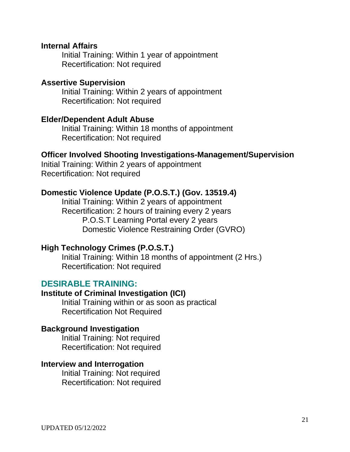### **Internal Affairs**

Initial Training: Within 1 year of appointment Recertification: Not required

### **Assertive Supervision**

Initial Training: Within 2 years of appointment Recertification: Not required

### **Elder/Dependent Adult Abuse**

Initial Training: Within 18 months of appointment Recertification: Not required

### **Officer Involved Shooting Investigations-Management/Supervision**

Initial Training: Within 2 years of appointment Recertification: Not required

### **Domestic Violence Update (P.O.S.T.) (Gov. 13519.4)**

Initial Training: Within 2 years of appointment Recertification: 2 hours of training every 2 years P.O.S.T Learning Portal every 2 years Domestic Violence Restraining Order (GVRO)

### **High Technology Crimes (P.O.S.T.)**

Initial Training: Within 18 months of appointment (2 Hrs.) Recertification: Not required

### **DESIRABLE TRAINING:**

### **Institute of Criminal Investigation (ICI)**

Initial Training within or as soon as practical Recertification Not Required

### **Background Investigation**

Initial Training: Not required Recertification: Not required

### **Interview and Interrogation**

Initial Training: Not required Recertification: Not required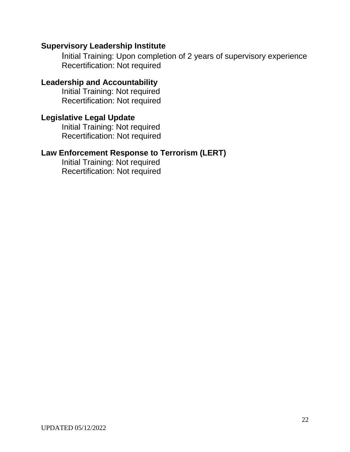## **Supervisory Leadership Institute**

Initial Training: Upon completion of 2 years of supervisory experience Recertification: Not required

## **Leadership and Accountability**

Initial Training: Not required Recertification: Not required

# **Legislative Legal Update**

Initial Training: Not required Recertification: Not required

# **Law Enforcement Response to Terrorism (LERT)**

Initial Training: Not required Recertification: Not required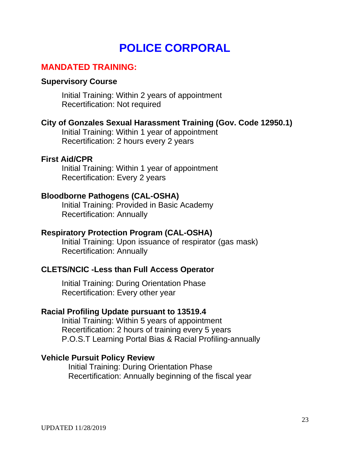# **POLICE CORPORAL**

# **MANDATED TRAINING:**

### **Supervisory Course**

Initial Training: Within 2 years of appointment Recertification: Not required

### **City of Gonzales Sexual Harassment Training (Gov. Code 12950.1)**

Initial Training: Within 1 year of appointment Recertification: 2 hours every 2 years

### **First Aid/CPR**

Initial Training: Within 1 year of appointment Recertification: Every 2 years

### **Bloodborne Pathogens (CAL-OSHA)**

Initial Training: Provided in Basic Academy Recertification: Annually

## **Respiratory Protection Program (CAL-OSHA)**

Initial Training: Upon issuance of respirator (gas mask) Recertification: Annually

## **CLETS/NCIC -Less than Full Access Operator**

Initial Training: During Orientation Phase Recertification: Every other year

### **Racial Profiling Update pursuant to 13519.4**

Initial Training: Within 5 years of appointment Recertification: 2 hours of training every 5 years P.O.S.T Learning Portal Bias & Racial Profiling-annually

### **Vehicle Pursuit Policy Review**

Initial Training: During Orientation Phase Recertification: Annually beginning of the fiscal year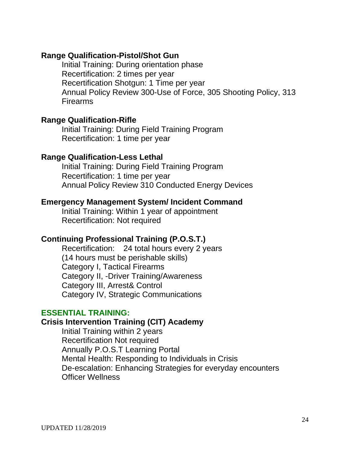### **Range Qualification-Pistol/Shot Gun**

Initial Training: During orientation phase Recertification: 2 times per year Recertification Shotgun: 1 Time per year Annual Policy Review 300-Use of Force, 305 Shooting Policy, 313 Firearms

### **Range Qualification-Rifle**

Initial Training: During Field Training Program Recertification: 1 time per year

### **Range Qualification-Less Lethal**

Initial Training: During Field Training Program Recertification: 1 time per year Annual Policy Review 310 Conducted Energy Devices

### **Emergency Management System/ Incident Command**

Initial Training: Within 1 year of appointment Recertification: Not required

## **Continuing Professional Training (P.O.S.T.)**

Recertification: 24 total hours every 2 years (14 hours must be perishable skills) Category I, Tactical Firearms Category II, -Driver Training/Awareness Category III, Arrest& Control Category IV, Strategic Communications

### **ESSENTIAL TRAINING:**

### **Crisis Intervention Training (CIT) Academy**

Initial Training within 2 years Recertification Not required Annually P.O.S.T Learning Portal Mental Health: Responding to Individuals in Crisis De-escalation: Enhancing Strategies for everyday encounters Officer Wellness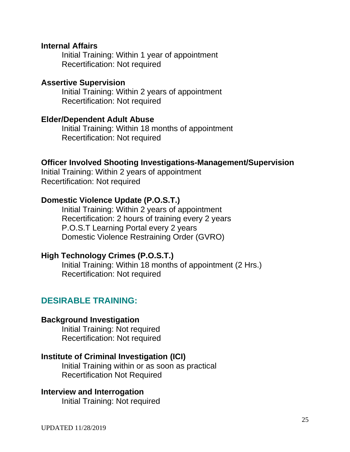### **Internal Affairs**

Initial Training: Within 1 year of appointment Recertification: Not required

### **Assertive Supervision**

Initial Training: Within 2 years of appointment Recertification: Not required

### **Elder/Dependent Adult Abuse**

Initial Training: Within 18 months of appointment Recertification: Not required

### **Officer Involved Shooting Investigations-Management/Supervision**

Initial Training: Within 2 years of appointment Recertification: Not required

### **Domestic Violence Update (P.O.S.T.)**

Initial Training: Within 2 years of appointment Recertification: 2 hours of training every 2 years P.O.S.T Learning Portal every 2 years Domestic Violence Restraining Order (GVRO)

### **High Technology Crimes (P.O.S.T.)**

Initial Training: Within 18 months of appointment (2 Hrs.) Recertification: Not required

### **DESIRABLE TRAINING:**

### **Background Investigation**

Initial Training: Not required Recertification: Not required

### **Institute of Criminal Investigation (ICI)**

Initial Training within or as soon as practical Recertification Not Required

#### **Interview and Interrogation**

Initial Training: Not required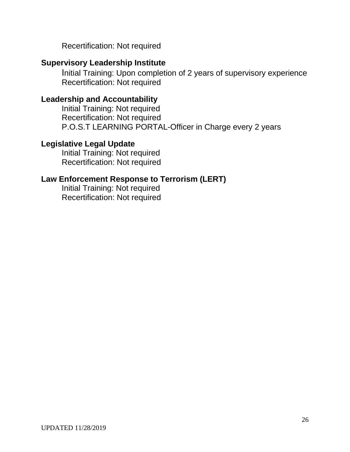Recertification: Not required

# **Supervisory Leadership Institute**

Initial Training: Upon completion of 2 years of supervisory experience Recertification: Not required

# **Leadership and Accountability**

Initial Training: Not required Recertification: Not required P.O.S.T LEARNING PORTAL-Officer in Charge every 2 years

# **Legislative Legal Update**

Initial Training: Not required Recertification: Not required

# **Law Enforcement Response to Terrorism (LERT)**

Initial Training: Not required Recertification: Not required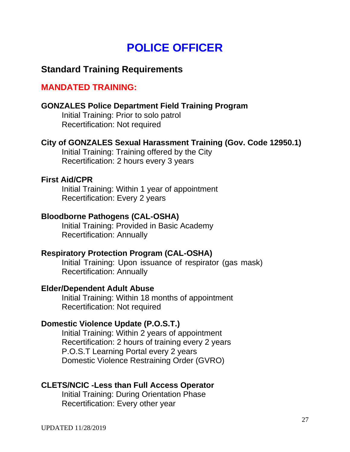# **POLICE OFFICER**

# **Standard Training Requirements**

# **MANDATED TRAINING:**

### **GONZALES Police Department Field Training Program**

Initial Training: Prior to solo patrol Recertification: Not required

### **City of GONZALES Sexual Harassment Training (Gov. Code 12950.1)**

Initial Training: Training offered by the City Recertification: 2 hours every 3 years

### **First Aid/CPR**

Initial Training: Within 1 year of appointment Recertification: Every 2 years

### **Bloodborne Pathogens (CAL-OSHA)**

Initial Training: Provided in Basic Academy Recertification: Annually

### **Respiratory Protection Program (CAL-OSHA)**

Initial Training: Upon issuance of respirator (gas mask) Recertification: Annually

### **Elder/Dependent Adult Abuse**

Initial Training: Within 18 months of appointment Recertification: Not required

## **Domestic Violence Update (P.O.S.T.)**

Initial Training: Within 2 years of appointment Recertification: 2 hours of training every 2 years P.O.S.T Learning Portal every 2 years Domestic Violence Restraining Order (GVRO)

## **CLETS/NCIC -Less than Full Access Operator**

Initial Training: During Orientation Phase Recertification: Every other year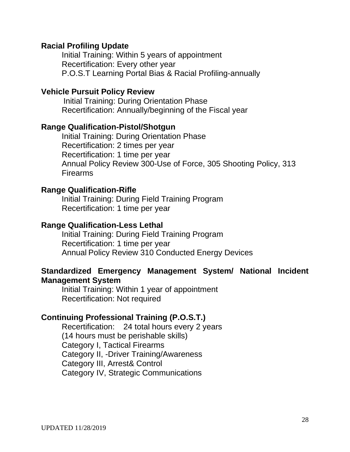### **Racial Profiling Update**

Initial Training: Within 5 years of appointment Recertification: Every other year P.O.S.T Learning Portal Bias & Racial Profiling-annually

### **Vehicle Pursuit Policy Review**

 Initial Training: During Orientation Phase Recertification: Annually/beginning of the Fiscal year

### **Range Qualification-Pistol/Shotgun**

Initial Training: During Orientation Phase Recertification: 2 times per year Recertification: 1 time per year Annual Policy Review 300-Use of Force, 305 Shooting Policy, 313 Firearms

### **Range Qualification-Rifle**

Initial Training: During Field Training Program Recertification: 1 time per year

### **Range Qualification-Less Lethal**

Initial Training: During Field Training Program Recertification: 1 time per year Annual Policy Review 310 Conducted Energy Devices

### **Standardized Emergency Management System/ National Incident Management System**

Initial Training: Within 1 year of appointment Recertification: Not required

## **Continuing Professional Training (P.O.S.T.)**

Recertification: 24 total hours every 2 years (14 hours must be perishable skills) Category I, Tactical Firearms Category II, -Driver Training/Awareness Category III, Arrest& Control Category IV, Strategic Communications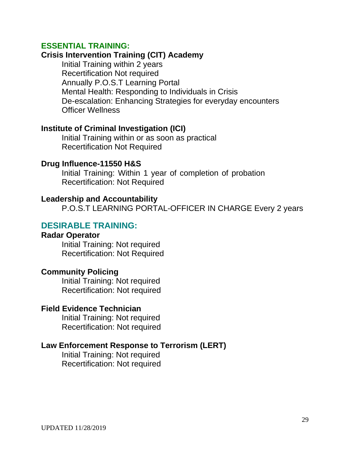### **ESSENTIAL TRAINING:**

# **Crisis Intervention Training (CIT) Academy**

Initial Training within 2 years Recertification Not required Annually P.O.S.T Learning Portal Mental Health: Responding to Individuals in Crisis De-escalation: Enhancing Strategies for everyday encounters Officer Wellness

### **Institute of Criminal Investigation (ICI)**

Initial Training within or as soon as practical Recertification Not Required

### **Drug Influence-11550 H&S**

Initial Training: Within 1 year of completion of probation Recertification: Not Required

### **Leadership and Accountability**

P.O.S.T LEARNING PORTAL-OFFICER IN CHARGE Every 2 years

### **DESIRABLE TRAINING:**

### **Radar Operator**

Initial Training: Not required Recertification: Not Required

### **Community Policing**

Initial Training: Not required Recertification: Not required

### **Field Evidence Technician**

Initial Training: Not required Recertification: Not required

### **Law Enforcement Response to Terrorism (LERT)**

Initial Training: Not required Recertification: Not required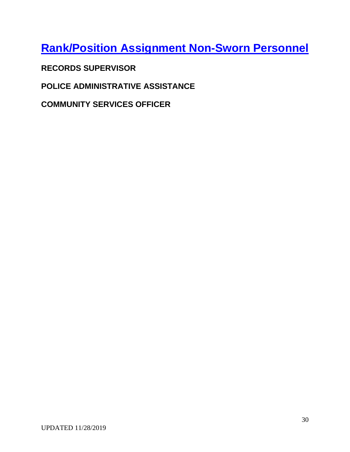**Rank/Position Assignment Non-Sworn Personnel**

**RECORDS SUPERVISOR** 

**POLICE ADMINISTRATIVE ASSISTANCE**

**COMMUNITY SERVICES OFFICER**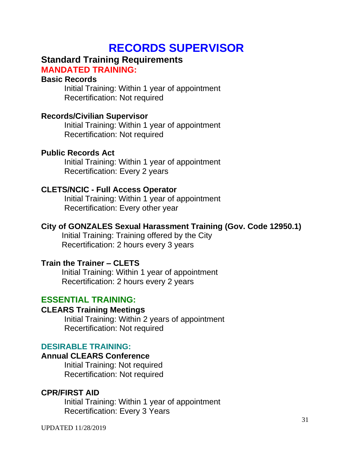# **RECORDS SUPERVISOR**

# **Standard Training Requirements**

**MANDATED TRAINING:**

## **Basic Records**

Initial Training: Within 1 year of appointment Recertification: Not required

# **Records/Civilian Supervisor**

Initial Training: Within 1 year of appointment Recertification: Not required

# **Public Records Act**

Initial Training: Within 1 year of appointment Recertification: Every 2 years

# **CLETS/NCIC - Full Access Operator**

Initial Training: Within 1 year of appointment Recertification: Every other year

# **City of GONZALES Sexual Harassment Training (Gov. Code 12950.1)**

Initial Training: Training offered by the City Recertification: 2 hours every 3 years

# **Train the Trainer – CLETS**

Initial Training: Within 1 year of appointment Recertification: 2 hours every 2 years

# **ESSENTIAL TRAINING:**

## **CLEARS Training Meetings**

Initial Training: Within 2 years of appointment Recertification: Not required

## **DESIRABLE TRAINING:**

## **Annual CLEARS Conference**

Initial Training: Not required Recertification: Not required

# **CPR/FIRST AID**

Initial Training: Within 1 year of appointment Recertification: Every 3 Years

UPDATED 11/28/2019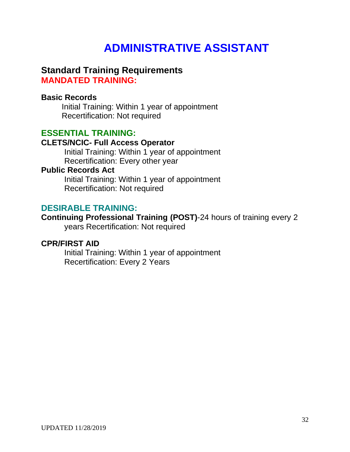# **ADMINISTRATIVE ASSISTANT**

## **Standard Training Requirements MANDATED TRAINING:**

### **Basic Records**

Initial Training: Within 1 year of appointment Recertification: Not required

# **ESSENTIAL TRAINING:**

## **CLETS/NCIC- Full Access Operator**

Initial Training: Within 1 year of appointment Recertification: Every other year

### **Public Records Act**

Initial Training: Within 1 year of appointment Recertification: Not required

## **DESIRABLE TRAINING:**

**Continuing Professional Training (POST)**-24 hours of training every 2 years Recertification: Not required

### **CPR/FIRST AID**

Initial Training: Within 1 year of appointment Recertification: Every 2 Years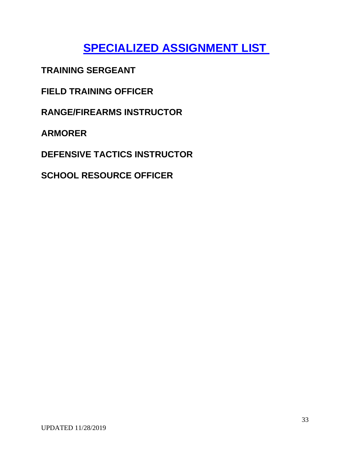# **SPECIALIZED ASSIGNMENT LIST**

**TRAINING SERGEANT** 

**FIELD TRAINING OFFICER** 

**RANGE/FIREARMS INSTRUCTOR** 

**ARMORER** 

**DEFENSIVE TACTICS INSTRUCTOR** 

**SCHOOL RESOURCE OFFICER**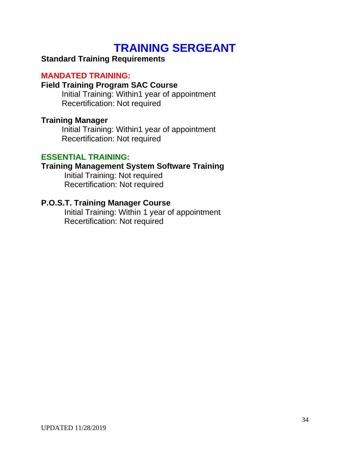# **TRAINING SERGEANT**

# **Standard Training Requirements**

## **MANDATED TRAINING:**

### **Field Training Program SAC Course**

Initial Training: Within1 year of appointment Recertification: Not required

### **Training Manager**

Initial Training: Within1 year of appointment Recertification: Not required

### **ESSENTIAL TRAINING:**

## **Training Management System Software Training**

Initial Training: Not required Recertification: Not required

## **P.O.S.T. Training Manager Course**

Initial Training: Within 1 year of appointment Recertification: Not required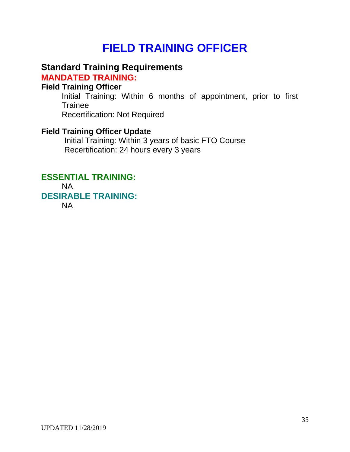# **FIELD TRAINING OFFICER**

# **Standard Training Requirements**

**MANDATED TRAINING:** 

# **Field Training Officer**

Initial Training: Within 6 months of appointment, prior to first **Trainee** Recertification: Not Required

# **Field Training Officer Update**

Initial Training: Within 3 years of basic FTO Course Recertification: 24 hours every 3 years

# **ESSENTIAL TRAINING:**

NA **DESIRABLE TRAINING:** 

NA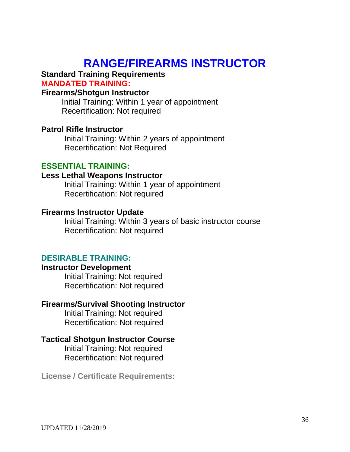# **RANGE/FIREARMS INSTRUCTOR**

### **Standard Training Requirements MANDATED TRAINING:**

### **Firearms/Shotgun Instructor**

Initial Training: Within 1 year of appointment Recertification: Not required

### **Patrol Rifle Instructor**

Initial Training: Within 2 years of appointment Recertification: Not Required

### **ESSENTIAL TRAINING:**

### **Less Lethal Weapons Instructor**

Initial Training: Within 1 year of appointment Recertification: Not required

### **Firearms Instructor Update**

Initial Training: Within 3 years of basic instructor course Recertification: Not required

### **DESIRABLE TRAINING:**

### **Instructor Development**

Initial Training: Not required Recertification: Not required

### **Firearms/Survival Shooting Instructor**

Initial Training: Not required Recertification: Not required

### **Tactical Shotgun Instructor Course**

Initial Training: Not required Recertification: Not required

**License / Certificate Requirements:**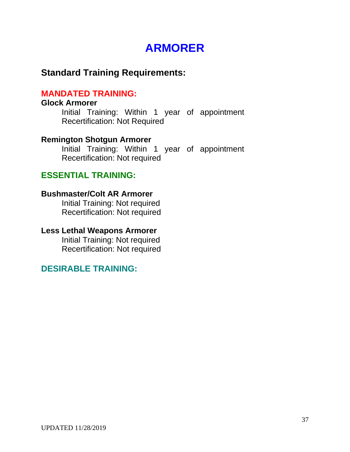# **ARMORER**

# **Standard Training Requirements:**

# **MANDATED TRAINING:**

### **Glock Armorer**

Initial Training: Within 1 year of appointment Recertification: Not Required

### **Remington Shotgun Armorer**

Initial Training: Within 1 year of appointment Recertification: Not required

# **ESSENTIAL TRAINING:**

### **Bushmaster/Colt AR Armorer**

Initial Training: Not required Recertification: Not required

### **Less Lethal Weapons Armorer**

Initial Training: Not required Recertification: Not required

# **DESIRABLE TRAINING:**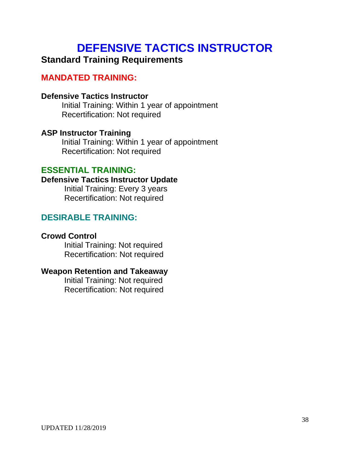# **DEFENSIVE TACTICS INSTRUCTOR**

# **Standard Training Requirements**

# **MANDATED TRAINING:**

## **Defensive Tactics Instructor**

Initial Training: Within 1 year of appointment Recertification: Not required

## **ASP Instructor Training**

Initial Training: Within 1 year of appointment Recertification: Not required

# **ESSENTIAL TRAINING:**

### **Defensive Tactics Instructor Update**

Initial Training: Every 3 years Recertification: Not required

# **DESIRABLE TRAINING:**

## **Crowd Control**

Initial Training: Not required Recertification: Not required

## **Weapon Retention and Takeaway**

Initial Training: Not required Recertification: Not required